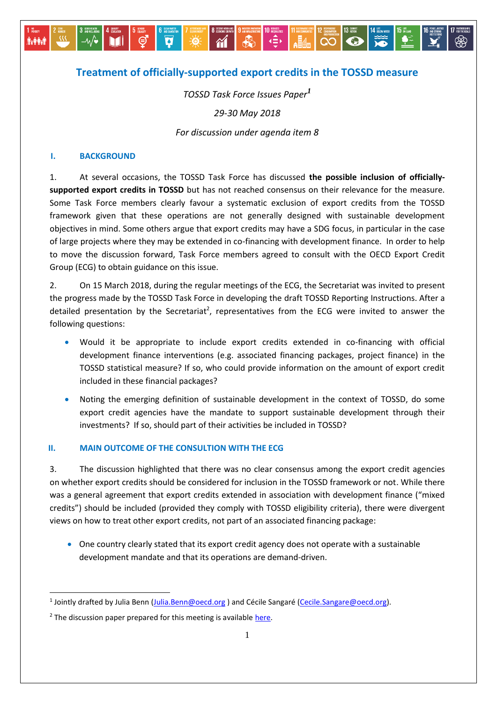# **Treatment of officially-supported export credits in the TOSSD measure**

R

 $\gamma$ 

道

 $\overline{\mathbf{v}}$ 

ම

 $\overrightarrow{=}$ 

**INSTRUCTED** 

Q

*TOSSD Task Force Issues Paper<sup>1</sup>*

*29-30 May 2018*

*For discussion under agenda item 8*

#### **I. BACKGROUND**

麻疹病

1. At several occasions, the TOSSD Task Force has discussed **the possible inclusion of officiallysupported export credits in TOSSD** but has not reached consensus on their relevance for the measure. Some Task Force members clearly favour a systematic exclusion of export credits from the TOSSD framework given that these operations are not generally designed with sustainable development objectives in mind. Some others argue that export credits may have a SDG focus, in particular in the case of large projects where they may be extended in co-financing with development finance. In order to help to move the discussion forward, Task Force members agreed to consult with the OECD Export Credit Group (ECG) to obtain guidance on this issue.

2. On 15 March 2018, during the regular meetings of the ECG, the Secretariat was invited to present the progress made by the TOSSD Task Force in developing the draft TOSSD Reporting Instructions. After a detailed presentation by the Secretariat<sup>2</sup>, representatives from the ECG were invited to answer the following questions:

- Would it be appropriate to include export credits extended in co-financing with official development finance interventions (e.g. associated financing packages, project finance) in the TOSSD statistical measure? If so, who could provide information on the amount of export credit included in these financial packages?
- Noting the emerging definition of sustainable development in the context of TOSSD, do some export credit agencies have the mandate to support sustainable development through their investments? If so, should part of their activities be included in TOSSD?

## **II. MAIN OUTCOME OF THE CONSULTION WITH THE ECG**

3. The discussion highlighted that there was no clear consensus among the export credit agencies on whether export credits should be considered for inclusion in the TOSSD framework or not. While there was a general agreement that export credits extended in association with development finance ("mixed credits") should be included (provided they comply with TOSSD eligibility criteria), there were divergent views on how to treat other export credits, not part of an associated financing package:

 One country clearly stated that its export credit agency does not operate with a sustainable development mandate and that its operations are demand-driven.

 $\overline{a}$ 

<sup>&</sup>lt;sup>1</sup> Jointly drafted by Julia Benn (<u>Julia.Benn@oecd.or</u>g ) and Cécile Sangaré [\(Cecile.Sangare@oecd.org\)](mailto:Cecile.Sangare@oecd.org).

 $2$  The discussion paper prepared for this meeting is available here.